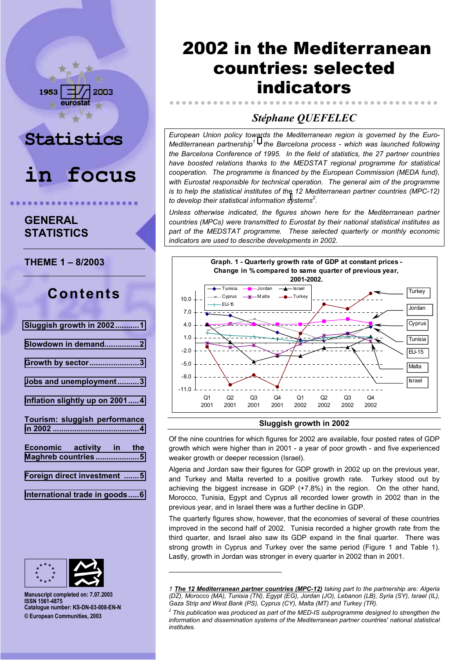# **Statistics**

2003

**in focus**

# **GENERAL STATISTICS**

1953

**THEME 1 - 8/2003** 

# **Contents**

| <b>Sluggish growth in 20021</b>                 |
|-------------------------------------------------|
| Slowdown in demand2                             |
| Growth by sector3                               |
| Jobs and unemployment3                          |
| Inflation slightly up on 20014                  |
| Tourism: sluggish performance                   |
| Economic activity in the<br>Maghreb countries 5 |
| Foreign direct investment 5                     |
| International trade in goods6                   |



**Manuscript completed on: 7.07.2003 ISSN 1561-4875 Catalogue number: KS-DN-03-008-EN-N © European Communities, 2003**

l

# 2002 in the Mediterranean countries: selected indicators

# *StÈphane QUEFELEC*

*European Union policy towards the Mediterranean region is governed by the Euro-*Mediterranean partnership<sup>1</sup> - the Barcelona process - which was launched following *the Barcelona Conference of 1995. In the field of statistics, the 27 partner countries have boosted relations thanks to the MEDSTAT regional programme for statistical cooperation. The programme is financed by the European Commission (MEDA fund), with Eurostat responsible for technical operation. The general aim of the programme is to help the statistical institutes of the 12 Mediterranean partner countries (MPC-12) to develop their statistical information systems2 .*

*Unless otherwise indicated, the figures shown here for the Mediterranean partner countries (MPCs) were transmitted to Eurostat by their national statistical institutes as part of the MEDSTAT programme. These selected quarterly or monthly economic indicators are used to describe developments in 2002.*



## **Sluggish growth in 2002**

Of the nine countries for which figures for 2002 are available, four posted rates of GDP growth which were higher than in 2001 - a year of poor growth - and five experienced weaker growth or deeper recession (Israel).

Algeria and Jordan saw their figures for GDP growth in 2002 up on the previous year, and Turkey and Malta reverted to a positive growth rate. Turkey stood out by achieving the biggest increase in GDP (+7.8%) in the region. On the other hand, Morocco, Tunisia, Egypt and Cyprus all recorded lower growth in 2002 than in the previous year, and in Israel there was a further decline in GDP.

The quarterly figures show, however, that the economies of several of these countries improved in the second half of 2002. Tunisia recorded a higher growth rate from the third quarter, and Israel also saw its GDP expand in the final quarter. There was strong growth in Cyprus and Turkey over the same period (Figure 1 and Table 1). Lastly, growth in Jordan was stronger in every quarter in 2002 than in 2001.

*<sup>1</sup> The 12 Mediterranean partner countries (MPC-12) taking part to the partnership are: Algeria (DZ), Morocco (MA), Tunisia (TN), Egypt (EG), Jordan (JO), Lebanon (LB), Syria (SY), Israel (IL), Gaza Strip and West Bank (PS), Cyprus (CY), Malta (MT) and Turkey (TR).*

<sup>&</sup>lt;sup>2</sup> This publication was produced as part of the MED-IS subprogramme designed to strengthen the *information and dissemination systems of the Mediterranean partner countries' national statistical institutes.*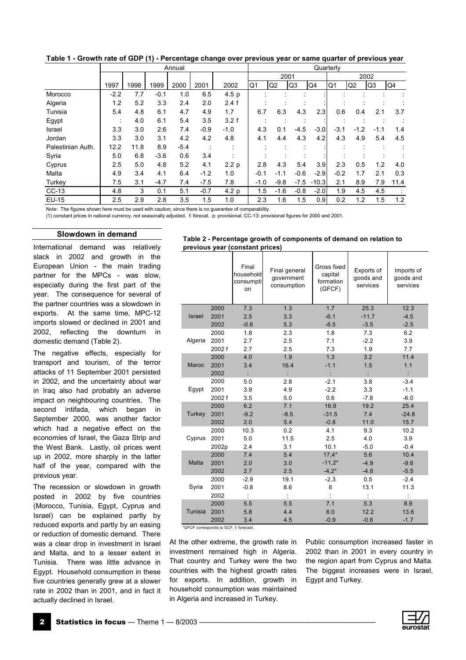|                   |        | Annual |        |        |        |                  |        |                | Quarterly            |         |        |        |        |      |  |
|-------------------|--------|--------|--------|--------|--------|------------------|--------|----------------|----------------------|---------|--------|--------|--------|------|--|
|                   |        |        |        |        |        |                  |        |                | 2001                 |         |        |        | 2002   |      |  |
|                   | 1997   | 1998   | 1999   | 2000   | 2001   | 2002             | Q1     | Q <sub>2</sub> | Q <sub>3</sub>       | Q4      | Q1     | Q2     | Q3     | Q4   |  |
| Morocco           | $-2.2$ | 7.7    | $-0.1$ | 1.0    | 6.5    | 4.5 <sub>p</sub> |        |                | $\ddot{\phantom{a}}$ |         |        |        |        |      |  |
| Algeria           | 1.2    | 5.2    | 3.3    | 2.4    | 2.0    | 2.4 f            |        |                |                      |         |        |        |        |      |  |
| Tunisia           | 5.4    | 4.8    | 6.1    | 4.7    | 4.9    | 1.7              | 6.7    | 6.3            | 4.3                  | 2.3     | 0.6    | 0.4    | 2.1    | 3.7  |  |
| Egypt             |        | 4.0    | 6.1    | 5.4    | 3.5    | 3.2 f            |        |                |                      |         |        |        |        |      |  |
| Israel            | 3.3    | 3.0    | 2.6    | 7.4    | $-0.9$ | $-1.0$           | 4.3    | 0.1            | $-4.5$               | $-3.0$  | $-3.1$ | $-1.2$ | $-1.1$ | 1.4  |  |
| Jordan            | 3.3    | 3.0    | 3.1    | 4.2    | 4.2    | 4.8              | 4.1    | 4.4            | 4.3                  | 4.2     | 4.3    | 4.9    | 5.4    | 4.5  |  |
| Palestinian Auth. | 12.2   | 11.8   | 8.9    | $-5.4$ |        |                  |        |                |                      |         |        |        |        |      |  |
| Syria             | 5.0    | 6.8    | $-3.6$ | 0.6    | 3.4    |                  |        |                |                      |         |        |        |        |      |  |
| Cyprus            | 2.5    | 5.0    | 4.8    | 5.2    | 4.1    | 2.2 <sub>p</sub> | 2.8    | 4.3            | 5.4                  | 3.9     | 2.3    | 0.5    | 1.2    | 4.0  |  |
| Malta             | 4.9    | 3.4    | 4.1    | 6.4    | $-1.2$ | 1.0              | $-0.1$ | $-1.1$         | $-0.6$               | $-2.9$  | $-0.2$ | 1.7    | 2.1    | 0.3  |  |
| Turkey            | 7.5    | 3.1    | $-4.7$ | 7.4    | $-7.5$ | 7.8              | $-1.0$ | $-9.8$         | $-7.5$               | $-10.3$ | 2.1    | 8.9    | 7.9    | 11.4 |  |
| $CC-13$           | 4.8    | 3      | 0.1    | 5.1    | $-0.7$ | 4.2 p            | 1.5    | $-1.6$         | $-0.8$               | $-2.0$  | 1.9    | 4.5    | 4.5    |      |  |
| EU-15             | 2.5    | 2.9    | 2.8    | 3.5    | 1.5    | 1.0              | 2.3    | 1.6            | 1.5                  | 0.9     | 0.2    | 1.2    | 1.5    | 1.2  |  |

<span id="page-1-0"></span>**Table 1 - Growth rate of GDP (1) - Percentage change over previous year or same quarter of previous year** 

Note: The figures shown here must be used with caution, since there is no guarantee of comparability.

(1) constant prices in national currency, not seasonally adjusted. f: forecat. p: provisional. CC-13: provisional figures for 2000 and 2001.

#### **Slowdown in demand**

International demand was relatively slack in 2002 and growth in the European Union - the main trading partner for the MPCs - was slow, especially during the first part of the year. The consequence for several of the partner countries was a slowdown in exports. At the same time, MPC-12 imports slowed or declined in 2001 and 2002, reflecting the downturn in domestic demand (Table 2).

The negative effects, especially for transport and tourism, of the terror attacks of 11 September 2001 persisted in 2002, and the uncertainty about war in Iraq also had probably an adverse impact on neighbouring countries. The second intifada, which began in September 2000, was another factor which had a negative effect on the economies of Israel, the Gaza Strip and the West Bank. Lastly, oil prices went up in 2002, more sharply in the latter half of the year, compared with the previous year.

The recession or slowdown in growth posted in 2002 by five countries (Morocco, Tunisia, Egypt, Cyprus and Israel) can be explained partly by reduced exports and partly by an easing or reduction of domestic demand. There was a clear drop in investment in Israel and Malta, and to a lesser extent in Tunisia. There was little advance in Egypt. Household consumption in these five countries generally grew at a slower rate in 2002 than in 2001, and in fact it actually declined in Israel.

| Table 2 - Percentage growth of components of demand on relation to |  |  |  |
|--------------------------------------------------------------------|--|--|--|
| previous year (constant prices)                                    |  |  |  |
|                                                                    |  |  |  |

|               |        | Final<br>household<br>consumpti<br>on | Final general<br>government<br>consumption | Gross fixed<br>capital<br>formation<br>(GFCF) | Exports of<br>goods and<br>services | Imports of<br>goods and<br>services |
|---------------|--------|---------------------------------------|--------------------------------------------|-----------------------------------------------|-------------------------------------|-------------------------------------|
|               | 2000   | 7.3                                   | 1.3                                        | 1.7                                           | 25.3                                | 12.3                                |
| <b>Israel</b> | 2001   | 2.5                                   | 3.3                                        | $-6.1$                                        | $-11.7$                             | $-4.5$                              |
|               | 2002   | $-0.6$                                | 5.3                                        | $-8.5$                                        | $-3.5$                              | $-2.5$                              |
|               | 2000   | 1.8                                   | 2.3                                        | 1.8                                           | 7.3                                 | 6.2                                 |
| Algeria       | 2001   | 2.7                                   | 2.5                                        | 7.1                                           | $-2.2$                              | 3.9                                 |
|               | 2002 f | 2.7                                   | 2.5                                        | 7.3                                           | 1.9                                 | 7.7                                 |
|               | 2000   | 4.0                                   | 1.9                                        | 1.3                                           | 3.2                                 | 11.4                                |
| Maroc         | 2001   | 3.4                                   | 16.4                                       | $-1.1$                                        | 1.5                                 | 1.1                                 |
|               | 2002   | ÷                                     |                                            |                                               |                                     |                                     |
|               | 2000   | 5.0                                   | 2.8                                        | $-2.1$                                        | 3.8                                 | $-3.4$                              |
| Egypt         | 2001   | 3.9                                   | 4.9                                        | $-2.2$                                        | 3.3                                 | $-1.1$                              |
|               | 2002 f | 3.5                                   | 5.0                                        | 0.6                                           | $-7.8$                              | $-6.0$                              |
|               | 2000   | 6.2                                   | 7.1                                        | 16.9                                          | 19.2                                | 25.4                                |
| Turkey        | 2001   | $-9.2$                                | $-8.5$                                     | $-31.5$                                       | 7.4                                 | $-24.8$                             |
|               | 2002   | 2.0                                   | 5.4                                        | $-0.8$                                        | 11.0                                | 15.7                                |
|               | 2000   | 10.3                                  | 0.2                                        | 4.1                                           | 9.3                                 | 10.2                                |
| Cyprus        | 2001   | 5.0                                   | 11.5                                       | 2.5                                           | 4.0                                 | 3.9                                 |
|               | 2002p  | 2.4                                   | 3.1                                        | 10.1                                          | $-5.0$                              | $-0.4$                              |
|               | 2000   | 7.4                                   | 5.4                                        | $17,4*$                                       | 5.6                                 | 10.4                                |
| Malta         | 2001   | 2.0                                   | 3.0                                        | $-11,2*$                                      | $-4.9$                              | $-9.6$                              |
|               | 2002   | 2.7                                   | 2.5                                        | $-4,2*$                                       | $-4.8$                              | $-5.5$                              |
|               | 2000   | $-2.9$                                | 19.1                                       | $-2.3$                                        | 0.5                                 | $-2.4$                              |
| Syria         | 2001   | $-0.8$                                | 8.6                                        | 8                                             | 13.1                                | 11.3                                |
|               | 2002   |                                       |                                            |                                               |                                     | ÷                                   |
|               | 2000   | 5.5                                   | 5.5                                        | 7.1                                           | 5.3                                 | 8.9                                 |
| Tunisia       | 2001   | 5.8                                   | 4.4                                        | 6.0                                           | 12.2                                | 13.6                                |
|               | 2002   | 3.4                                   | 4.5                                        | $-0.9$                                        | $-0.6$                              | $-1.7$                              |

\*GFCF corresponds to GCF. f: forecast.

At the other extreme, the growth rate in investment remained high in Algeria. That country and Turkey were the two countries with the highest growth rates for exports. In addition, growth in household consumption was maintained in Algeria and increased in Turkey.

Public consumption increased faster in 2002 than in 2001 in every country in the region apart from Cyprus and Malta. The biggest increases were in Israel, Egypt and Turkey.

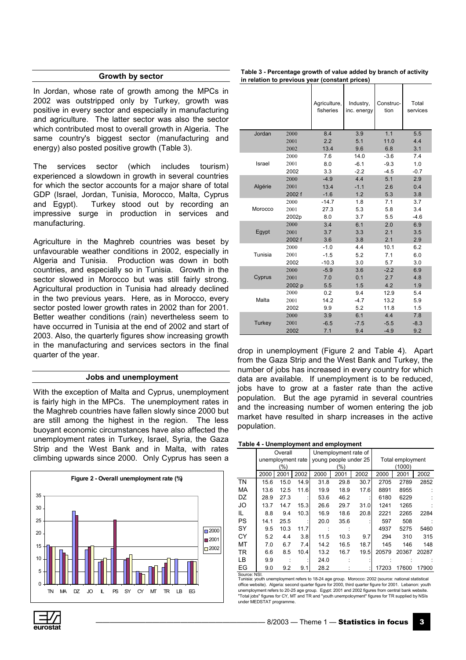## **Growth by sector**

<span id="page-2-0"></span>In Jordan, whose rate of growth among the MPCs in 2002 was outstripped only by Turkey, growth was positive in every sector and especially in manufacturing and agriculture. The latter sector was also the sector which contributed most to overall growth in Algeria. The same country's biggest sector (manufacturing and energy) also posted positive growth (Table 3).

The services sector (which includes tourism) experienced a slowdown in growth in several countries for which the sector accounts for a major share of total GDP (Israel, Jordan, Tunisia, Morocco, Malta, Cyprus and Egypt). Turkey stood out by recording an impressive surge in production in services and manufacturing.

Agriculture in the Maghreb countries was beset by unfavourable weather conditions in 2002, especially in Algeria and Tunisia. Production was down in both countries, and especially so in Tunisia. Growth in the sector slowed in Morocco but was still fairly strong. Agricultural production in Tunisia had already declined in the two previous years. Here, as in Morocco, every sector posted lower growth rates in 2002 than for 2001. Better weather conditions (rain) nevertheless seem to have occurred in Tunisia at the end of 2002 and start of 2003. Also, the quarterly figures show increasing growth in the manufacturing and services sectors in the final quarter of the year.

## **Jobs and unemployment**

With the exception of Malta and Cyprus, unemployment is fairly high in the MPCs. The unemployment rates in the Maghreb countries have fallen slowly since 2000 but are still among the highest in the region. The less buoyant economic circumstances have also affected the unemployment rates in Turkey, Israel, Syria, the Gaza Strip and the West Bank and in Malta, with rates climbing upwards since 2000. Only Cyprus has seen a



| Table 3 - Percentage growth of value added by branch of activity |
|------------------------------------------------------------------|
| in relation to previous year (constant prices)                   |

|         |        | Agriculture,<br>fisheries | Industry,<br>inc. energy | Construc-<br>tion | Total<br>services |
|---------|--------|---------------------------|--------------------------|-------------------|-------------------|
| Jordan  | 2000   | 8.4                       | 3.9                      | 1.1               | 5.5               |
|         | 2001   | 2.2                       | 5.1                      | 11.0              | 4.4               |
|         | 2002   | 13.4                      | 9.6                      | 6.8               | 3.1               |
|         | 2000   | 7.6                       | 14.0                     | $-3.6$            | 7.4               |
| Israel  | 2001   | 8.0                       | $-6.1$                   | $-9.3$            | 1.0               |
|         | 2002   | 3.3                       | $-2.2$                   | $-4.5$            | $-0.7$            |
|         | 2000   | $-4.9$                    | 4.4                      | 5.1               | 2.9               |
| Algérie | 2001   | 13.4                      | $-1.1$                   | 2.6               | 0.4               |
|         | 2002 f | $-1.6$                    | 1.2                      | 5.3               | 3.8               |
|         | 2000   | $-14.7$                   | 1.8                      | 7.1               | 3.7               |
| Morocco | 2001   | 27.3                      | 5.3                      | 5.8               | 3.4               |
|         | 2002p  | 8.0                       | 3.7                      | 5.5               | $-4.6$            |
|         | 2000   | 3.4                       | 6.1                      | 2.0               | 6.9               |
| Egypt   | 2001   | 3.7                       | 3.3                      | 2.1               | 3.5               |
|         | 2002 f | 3.6                       | 3.8                      | 2.1               | 2.9               |
|         | 2000   | $-1.0$                    | 4.4                      | 10.1              | 6.2               |
| Tunisia | 2001   | $-1.5$                    | 5.2                      | 7.1               | 6.0               |
|         | 2002   | $-10.3$                   | 3.0                      | 5.7               | 3.0               |
|         | 2000   | $-5.9$                    | 3.6                      | $-2.2$            | 6.9               |
| Cyprus  | 2001   | 7.0                       | 0.1                      | 2.7               | 4.8               |
|         | 2002 p | 5.5                       | 1.5                      | 4.2               | 1.9               |
|         | 2000   | 0.2                       | 9.4                      | 12.9              | 5.4               |
| Malta   | 2001   | 14.2                      | $-4.7$                   | 13.2              | 5.9               |
|         | 2002   | 9.9                       | 5.2                      | 11.8              | 1.5               |
| Turkey  | 2000   | 3.9                       | 6.1                      | 4.4               | 7.8               |
|         | 2001   | $-6.5$                    | $-7.5$                   | $-5.5$            | $-8.3$            |
|         | 2002   | 7.1                       | 9.4                      | $-4.9$            | 9.2               |

drop in unemployment (Figure 2 and Table 4). Apart from the Gaza Strip and the West Bank and Turkey, the number of jobs has increased in every country for which data are available. If unemployment is to be reduced, jobs have to grow at a faster rate than the active population. But the age pyramid in several countries and the increasing number of women entering the job market have resulted in sharp increases in the active population.

#### **Table 4 - Unemployment and employment**

|           |      | Overall           |      |      | Unemployment rate of  |      |        |                  |       |  |  |
|-----------|------|-------------------|------|------|-----------------------|------|--------|------------------|-------|--|--|
|           |      | unemployment rate |      |      | young people under 25 |      |        | Total employment |       |  |  |
|           |      | (%)               |      |      | $(\%)$                |      | (1000) |                  |       |  |  |
|           | 2000 | 2001              | 2002 | 2000 | 2001                  | 2002 | 2000   | 2001             | 2002  |  |  |
| <b>TN</b> | 15.6 | 15.0              | 14.9 | 31.8 | 29.8                  | 30.7 | 2705   | 2789             | 2852  |  |  |
| MA        | 13.6 | 12.5              | 11.6 | 19.9 | 18.9                  | 17.6 | 8891   | 8955             |       |  |  |
| DZ        | 28.9 | 27.3              |      | 53.6 | 46.2                  |      | 6180   | 6229             |       |  |  |
| JO        | 13.7 | 14.7              | 15.3 | 26.6 | 29.7                  | 31.0 | 1241   | 1265             |       |  |  |
| IL        | 8.8  | 9.4               | 10.3 | 16.9 | 18.6                  | 20.8 | 2221   | 2265             | 2284  |  |  |
| <b>PS</b> | 14.1 | 25.5              |      | 20.0 | 35.6                  |      | 597    | 508              |       |  |  |
| SY        | 9.5  | 10.3              | 11.7 |      |                       |      | 4937   | 5275             | 5460  |  |  |
| CY        | 5.2  | 4.4               | 3.8  | 11.5 | 10.3                  | 9.7  | 294    | 310              | 315   |  |  |
| МT        | 7.0  | 6.7               | 7.4  | 14.2 | 16.5                  | 18.7 | 145    | 146              | 148   |  |  |
| <b>TR</b> | 6.6  | 8.5               | 10.4 | 13.2 | 16.7                  | 19.5 | 20579  | 20367            | 20287 |  |  |
| LВ        | 9.9  |                   |      | 24.0 |                       |      |        |                  |       |  |  |
| EG        | 9.0  | 9.2               | 9.1  | 28.2 |                       |      | 17203  | 17600            | 17900 |  |  |

Source: NSI. Tunisia: youth unemployment refers to 18-24 age group. Morocco: 2002 (source: national statistical office website). Algeria: second quarter figure for 2000, third quarter figure for 2001. Lebanon: youth unemployment refers to 20-25 age group. Egypt: 2001 and 2002 figures from central bank web "Total jobs" figures for CY, MT and TR and "youth unempoloyment" figures for TR supplied by NSIs under MEDSTAT programme.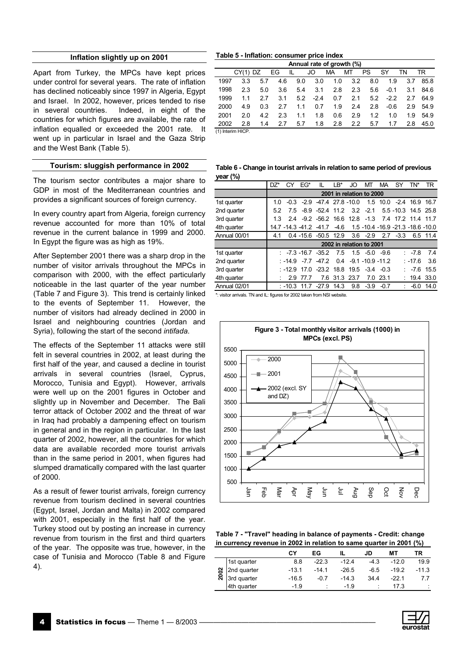## **Inflation slightly up on 2001**

<span id="page-3-0"></span>Apart from Turkey, the MPCs have kept prices under control for several years. The rate of inflation has declined noticeably since 1997 in Algeria, Egypt and Israel. In 2002, however, prices tended to rise in several countries. Indeed, in eight of the countries for which figures are available, the rate of inflation equalled or exceeded the 2001 rate. It went up in particular in Israel and the Gaza Strip and the West Bank (Table 5).

## **Tourism: sluggish performance in 2002**

The tourism sector contributes a major share to GDP in most of the Mediterranean countries and provides a significant sources of foreign currency.

In every country apart from Algeria, foreign currency revenue accounted for more than 10% of total revenue in the current balance in 1999 and 2000. In Egypt the figure was as high as 19%.

After September 2001 there was a sharp drop in the number of visitor arrivals throughout the MPCs in comparison with 2000, with the effect particularly noticeable in the last quarter of the year number (Table 7 and Figure 3). This trend is certainly linked to the events of September 11. However, the number of visitors had already declined in 2000 in Israel and neighbouring countries (Jordan and Syria), following the start of the second *intifada*.

The effects of the September 11 attacks were still felt in several countries in 2002, at least during the first half of the year, and caused a decline in tourist arrivals in several countries (Israel, Cyprus, Morocco, Tunisia and Egypt). However, arrivals were well up on the 2001 figures in October and slightly up in November and December. The Bali terror attack of October 2002 and the threat of war in Iraq had probably a dampening effect on tourism in general and in the region in particular. In the last quarter of 2002, however, all the countries for which data are available recorded more tourist arrivals than in the same period in 2001, when figures had slumped dramatically compared with the last quarter of 2000.

As a result of fewer tourist arrivals, foreign currency revenue from tourism declined in several countries (Egypt, Israel, Jordan and Malta) in 2002 compared with 2001, especially in the first half of the year. Turkey stood out by posting an increase in currency revenue from tourism in the first and third quarters of the year. The opposite was true, however, in the case of Tunisia and Morocco (Table 8 and Figure 4).

#### **Table 5 - Inflation: consumer price index**

|      | Annual rate of growth (%) |     |     |     |        |     |     |           |            |     |      |
|------|---------------------------|-----|-----|-----|--------|-----|-----|-----------|------------|-----|------|
|      | $CY(1)$ DZ                |     | EG. | IL. | JO     | MA  | МT  | <b>PS</b> | <b>SY</b>  | TN  | TR   |
| 1997 | 3.3                       | 57  | 4.6 | 9.0 | 3.0    | 1.0 | 3.2 | 8.0       | 1.9        | 3.7 | 85.8 |
| 1998 | 2.3                       | 5.0 | 3.6 | 5.4 | 3.1    | 2.8 | 2.3 | 5.6       | $-0.1$     | 3.1 | 84.6 |
| 1999 | 11                        | 27  | 3.1 | 5.2 | $-2.4$ | 0.7 | 2.1 |           | $5.2 -2.2$ | 27  | 64.9 |
| 2000 | 49                        | 0.3 | 27  | 11  | 0.7    | 1.9 | 2.4 | 2.8       | $-0.6$     | 29  | 549  |
| 2001 | 20                        | 42  | 23  | 11  | 1.8    | 0.6 | 2.9 | 1.2       | 1 O        | 19  | 549  |
| 2002 | 2.8                       | 14  | 2.7 | 5.7 | 1.8    | 2.8 | 2.2 | 5.7       | 1.7        | 2.8 | 45.0 |
|      | (1) Interim HICP.         |     |     |     |        |     |     |           |            |     |      |

(1) Interim HICP.

**Table 6 - Change in tourist arrivals in relation to same period of previous year (%)**

|              | $DZ^*$ | СY                       | $EG*$ | IL                                                            | LB*  | JO                       | мт                | MA       | SY          | TN*                  | TR       |  |
|--------------|--------|--------------------------|-------|---------------------------------------------------------------|------|--------------------------|-------------------|----------|-------------|----------------------|----------|--|
|              |        | 2001 in relation to 2000 |       |                                                               |      |                          |                   |          |             |                      |          |  |
| 1st quarter  | 1.0    |                          |       | $-0.3$ $-2.9$ $-47.4$ 27.8 $-10.0$                            |      |                          |                   |          |             | 1.5 10.0 -2.4 16.9   | 16.7     |  |
| 2nd quarter  | 52     | 7.5                      |       | $-8.9$ $-52.4$ 11.2 3.2 $-2.1$                                |      |                          |                   |          |             | 5.5 - 10.3 14.5 25.8 |          |  |
| 3rd quarter  | 1.3    |                          |       | 2.4 -9.2 -56.2 16.6 12.8 -1.3 7.4 17.2 11.4 11.7              |      |                          |                   |          |             |                      |          |  |
| 4th quarter  |        |                          |       | 14.7 -14.3 -41.2 -41.7 -4.6 1.5 -10.4 -16.9 -21.3 -18.6 -10.0 |      |                          |                   |          |             |                      |          |  |
| Annual 00/01 | 4.1    |                          |       | 0.4 -15.6 -50.5 12.9                                          |      |                          | $3.6 - 2.9$       |          | $2.7 - 3.3$ |                      | 6.5 11.4 |  |
|              |        |                          |       |                                                               |      | 2002 in relation to 2001 |                   |          |             |                      |          |  |
| 1st quarter  |        |                          |       | $: -7.3 - 16.7 - 35.2$                                        | 7.5  |                          | $1.5 - 5.0 - 9.6$ |          |             | : $-7.8$             | 7.4      |  |
| 2nd quarter  |        |                          |       | $-14.9$ $-7.7$ $-47.2$                                        |      | $0.4 -9.1 -10.9 -11.2$   |                   |          |             | : -17.6              | 3.6      |  |
| 3rd quarter  |        | : $-12.9$                |       | 17.0 -23.2 18.8 19.5 -3.4 -0.3                                |      |                          |                   |          |             | -7.6                 | 15.5     |  |
| 4th quarter  |        | 2.9                      | 77 7  |                                                               |      | 7.6 31.3 23.7            |                   | 7.0 23.1 |             | : 19.4               | 33.0     |  |
| Annual 02/01 |        | $: -10.3$                | 11.7  | $-27.9$                                                       | 14.3 | 9.8                      | $-3.9$            | $-0.7$   |             | -6.0                 | 14.0     |  |

\*: visitor arrivals. TN and IL: figures for 2002 taken from NSI website.



**Table 7 - "Travel" heading in balance of payments - Credit: change in currency revenue in 2002 in relation to same quarter in 2001 (%)**

|      |             | C٧      | EG      |         | JD     | МT      | ΤR      |
|------|-------------|---------|---------|---------|--------|---------|---------|
|      | 1st quarter | 8.8     | $-22.3$ | $-12.4$ | $-4.3$ | $-12.0$ | 19.9    |
|      | 2nd quarter | $-13.1$ | $-14.1$ | $-26.5$ | $-6.5$ | $-19.2$ | $-11.3$ |
| 2002 | 3rd quarter | $-16.5$ | $-0.7$  | $-14.3$ | 34.4   | $-22.1$ |         |
|      | 4th quarter | -1.9    |         | -1.9    |        | 17.3    | ÷       |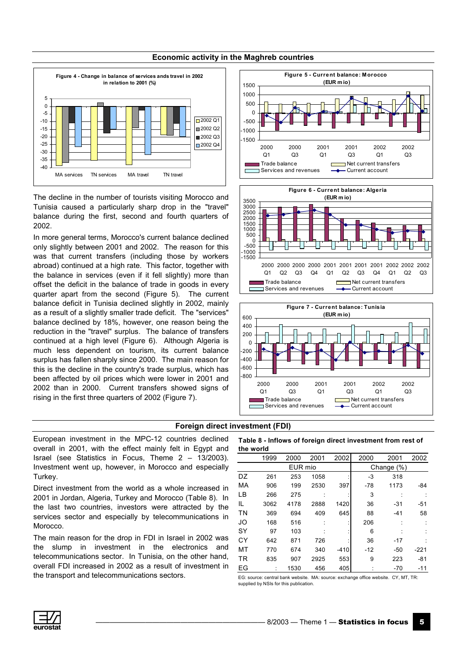<span id="page-4-0"></span>

# **Economic activity in the Maghreb countries**

The decline in the number of tourists visiting Morocco and Tunisia caused a particularly sharp drop in the "travel" balance during the first, second and fourth quarters of 2002.

In more general terms, Morocco's current balance declined only slightly between 2001 and 2002. The reason for this was that current transfers (including those by workers abroad) continued at a high rate. This factor, together with the balance in services (even if it fell slightly) more than offset the deficit in the balance of trade in goods in every quarter apart from the second (Figure 5). The current balance deficit in Tunisia declined slightly in 2002, mainly as a result of a slightly smaller trade deficit. The "services" balance declined by 18%, however, one reason being the reduction in the "travel" surplus. The balance of transfers continued at a high level (Figure 6). Although Algeria is much less dependent on tourism, its current balance surplus has fallen sharply since 2000. The main reason for this is the decline in the country's trade surplus, which has been affected by oil prices which were lower in 2001 and 2002 than in 2000. Current transfers showed signs of rising in the first three quarters of 2002 (Figure 7).







## **Foreign direct investment (FDI)**

European investment in the MPC-12 countries declined overall in 2001, with the effect mainly felt in Egypt and Israel (see Statistics in Focus, Theme  $2 - 13/2003$ ). Investment went up, however, in Morocco and especially Turkey.

Direct investment from the world as a whole increased in 2001 in Jordan, Algeria, Turkey and Morocco (Table 8). In the last two countries, investors were attracted by the services sector and especially by telecommunications in **Morocco** 

The main reason for the drop in FDI in Israel in 2002 was the slump in investment in the electronics and telecommunications sector. In Tunisia, on the other hand, overall FDI increased in 2002 as a result of investment in the transport and telecommunications sectors.

#### **Table 8 - Inflows of foreign direct investment from rest of the world**

|           | 1999 | 2000    | 2001 | 2002   | 2000  | 2001       | 2002   |
|-----------|------|---------|------|--------|-------|------------|--------|
|           |      | EUR mio |      |        |       | Change (%) |        |
| DZ        | 261  | 253     | 1058 |        | -3    | 318        |        |
| МA        | 906  | 199     | 2530 | 397    | $-78$ | 1173       | -84    |
| LB        | 266  | 275     |      |        | 3     |            |        |
| IL        | 3062 | 4178    | 2888 | 1420   | 36    | -31        | $-51$  |
| <b>TN</b> | 369  | 694     | 409  | 645    | 88    | $-41$      | 58     |
| JO        | 168  | 516     |      |        | 206   |            |        |
| SY        | 97   | 103     |      |        | 6     |            |        |
| CY        | 642  | 871     | 726  |        | 36    | $-17$      |        |
| МT        | 770  | 674     | 340  | $-410$ | $-12$ | $-50$      | $-221$ |
| <b>TR</b> | 835  | 907     | 2925 | 553    | 9     | 223        | $-81$  |
| ЕG        |      | 1530    | 456  | 405    |       | $-70$      | $-11$  |

EG: source: central bank website. MA: source: exchange office website. CY, MT, TR: supplied by NSIs for this publication.

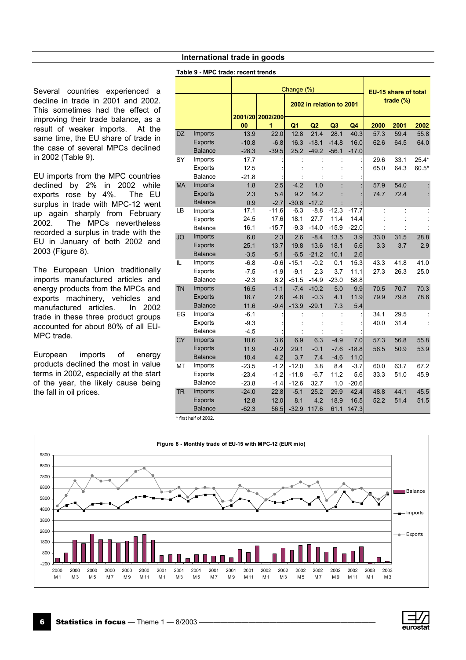# **International trade in goods**

#### **Table 9 - MPC trade: recent trends**

<span id="page-5-0"></span>Several countries experienced a decline in trade in 2001 and 2002. This sometimes had the effect of improving their trade balance, as a result of weaker imports. At the same time, the EU share of trade in the case of several MPCs declined in 2002 (Table 9).

EU imports from the MPC countries declined by 2% in 2002 while exports rose by 4%. The EU surplus in trade with MPC-12 went up again sharply from February 2002. The MPCs nevertheless recorded a surplus in trade with the EU in January of both 2002 and 2003 (Figure 8).

The European Union traditionally imports manufactured articles and energy products from the MPCs and exports machinery, vehicles and manufactured articles. In 2002 trade in these three product groups accounted for about 80% of all EU-MPC trade.

European imports of energy products declined the most in value terms in 2002, especially at the start of the year, the likely cause being the fall in oil prices.

|           |                |         | EU-15 share of total |                |                          |                |         |      |             |         |
|-----------|----------------|---------|----------------------|----------------|--------------------------|----------------|---------|------|-------------|---------|
|           |                |         | 2001/20 2002/200     | Change (%)     | 2002 in relation to 2001 |                |         |      | trade $(%)$ |         |
|           |                | 00      | 1                    | Q <sub>1</sub> | Q2                       | Q <sub>3</sub> | Q4      | 2000 | 2001        | 2002    |
| <b>DZ</b> | Imports        | 13.9    | 22.0                 | 12.8           | 21.4                     | 28.1           | 40.3    | 57.3 | 59.4        | 55.8    |
|           | Exports        | $-10.8$ | $-6.8$               | 16.3           | $-18.1$                  | $-14.8$        | 16.0    | 62.6 | 64.5        | 64.0    |
|           | <b>Balance</b> | $-28.3$ | $-39.5$              | 25.2           | $-49.2$                  | $-56.1$        | $-17.0$ |      |             |         |
| SY        | Imports        | 17.7    |                      |                |                          |                |         | 29.6 | 33.1        | $25.4*$ |
|           | <b>Exports</b> | 12.5    |                      |                |                          |                |         | 65.0 | 64.3        | $60.5*$ |
|           | Balance        | $-21.8$ |                      |                |                          |                |         |      |             |         |
| <b>MA</b> | Imports        | 1.8     | 2.5                  | $-4.2$         | 1.0                      |                |         | 57.9 | 54.0        |         |
|           | Exports        | 2.3     | 5.4                  | 9.2            | 14.2                     |                |         | 74.7 | 72.4        |         |
|           | <b>Balance</b> | 0.9     | $-2.7$               | $-30.8$        | $-17.2$                  |                |         |      |             |         |
| LВ        | Imports        | 17.1    | $-11.6$              | $-6.3$         | $-8.8$                   | $-12.3$        | $-17.7$ |      | ÷           |         |
|           | <b>Exports</b> | 24.5    | 17.6                 | 18.1           | 27.7                     | 11.4           | 14.4    |      |             |         |
|           | <b>Balance</b> | 16.1    | $-15.7$              | $-9.3$         | $-14.0$                  | $-15.9$        | $-22.0$ |      |             |         |
| <b>JO</b> | Imports        | 6.0     | 2.3                  | 2.6            | $-8.4$                   | 13.5           | 3.9     | 33.0 | 31.5        | 28.8    |
|           | <b>Exports</b> | 25.1    | 13.7                 | 19.8           | 13.6                     | 18.1           | 5.6     | 3.3  | 3.7         | 2.9     |
|           | <b>Balance</b> | $-3.5$  | $-5.1$               | $-6.5$         | $-21.2$                  | 10.1           | 2.6     |      |             |         |
| IL        | Imports        | $-6.8$  | $-0.6$               | $-15.1$        | $-0.2$                   | 0.1            | 15.3    | 43.3 | 41.8        | 41.0    |
|           | <b>Exports</b> | $-7.5$  | $-1.9$               | $-9.1$         | 2.3                      | 3.7            | 11.1    | 27.3 | 26.3        | 25.0    |
|           | Balance        | $-2.3$  | 8.2                  | $-51.5$        | $-14.9$                  | $-23.0$        | 58.8    |      |             |         |
| <b>TN</b> | <b>Imports</b> | 16.5    | $-1.1$               | $-7.4$         | $-10.2$                  | 5.0            | 9.9     | 70.5 | 70.7        | 70.3    |
|           | <b>Exports</b> | 18.7    | 2.6                  | $-4.8$         | $-0.3$                   | 4.1            | 11.9    | 79.9 | 79.8        | 78.6    |
|           | <b>Balance</b> | 11.6    | $-9.4$               | $-13.9$        | $-29.1$                  | 7.3            | 5.4     |      |             |         |
| EG        | Imports        | $-6.1$  |                      |                |                          |                |         | 34.1 | 29.5        |         |
|           | <b>Exports</b> | $-9.3$  |                      |                |                          |                |         | 40.0 | 31.4        |         |
|           | <b>Balance</b> | $-4.5$  |                      |                |                          |                |         |      |             |         |
| <b>CY</b> | Imports        | 10.6    | 3.6                  | 6.9            | 6.3                      | $-4.9$         | 7.0     | 57.3 | 56.8        | 55.8    |
|           | <b>Exports</b> | 11.9    | $-0.2$               | 29.1           | $-0.1$                   | $-7.6$         | $-18.8$ | 56.5 | 50.9        | 53.9    |
|           | <b>Balance</b> | 10.4    | 4.2                  | 3.7            | 7.4                      | $-4.6$         | 11.0    |      |             |         |
| MT        | Imports        | $-23.5$ | $-1.2$               | $-12.0$        | 3.8                      | 8.4            | $-3.7$  | 60.0 | 63.7        | 67.2    |
|           | <b>Exports</b> | $-23.4$ | $-1.2$               | $-11.8$        | $-6.7$                   | 11.2           | 5.6     | 33.3 | 51.0        | 45.9    |
|           | <b>Balance</b> | $-23.8$ | $-1.4$               | $-12.6$        | 32.7                     | 1.0            | $-20.6$ |      |             |         |
| TR        | Imports        | $-24.0$ | 22.8                 | $-5.1$         | 25.2                     | 29.9           | 42.4    | 48.8 | 44.1        | 45.5    |
|           | <b>Exports</b> | 12.8    | 12.0                 | 8.1            | 4.2                      | 18.9           | 16.5    | 52.2 | 51.4        | 51.5    |
|           | <b>Balance</b> | $-62.3$ | 56.5                 | $-32.9$        | 117.6                    | 61.1           | 147.3   |      |             |         |

\* first half of 2002.



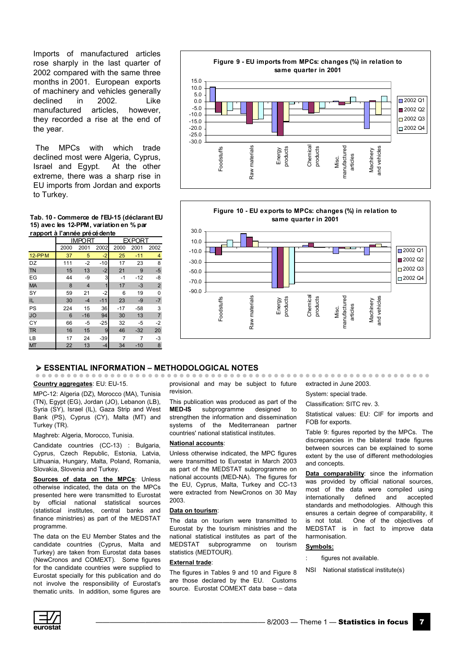Imports of manufactured articles rose sharply in the last quarter of 2002 compared with the same three months in 2001. European exports of machinery and vehicles generally declined in 2002. Like manufactured articles, however, they recorded a rise at the end of the year.

 The MPCs with which trade declined most were Algeria, Cyprus, Israel and Egypt. At the other extreme, there was a sharp rise in EU imports from Jordan and exports to Turkey.

Tab. 10 - Commerce de l'EU-15 (déclarant EU **15) avec les 12-PPM, variation en % par** rapport à l'année précédente

|           |      | IMPORT         |                | <b>FXPORT</b> |       |                |
|-----------|------|----------------|----------------|---------------|-------|----------------|
|           | 2000 | 2001           | 2002           | 2000          | 2001  | 2002           |
| $12$ -PPM | 37   | 5              | $-2$           | 25            | $-11$ | 4              |
| DZ        | 111  | $-2$           | $-10$          | 17            | 23    | 8              |
| <b>TN</b> | 15   | 13             | $-2$           | 21            | 9     | $-5$           |
| EG        | 44   | -9             | 3              | $-1$          | $-12$ | -8             |
| <b>MA</b> | 8    | $\overline{4}$ | 1              | 17            | $-3$  | $\overline{2}$ |
| SY        | 59   | 21             | $-2$           | 6             | 19    | 0              |
| IL        | 30   | $-4$           | $-11$          | 23            | $-9$  | $-7$           |
| PS        | 224  | 15             | 36             | $-17$         | $-58$ | 3              |
| <b>JO</b> | 6    | $-16$          | 94             | 30            | 13    | $\overline{7}$ |
| CY        | 66   | $-5$           | $-25$          | 32            | $-5$  | $-2$           |
| <b>TR</b> | 16   | 15             | $\overline{9}$ | 46            | $-32$ | 20             |
| LВ        | 17   | 24             | $-39$          |               |       | $-3$           |
| <b>MT</b> | 22   | 13             | $-4$           | 34            | $-10$ | 8              |





#### **ESSENTIAL INFORMATION - METHODOLOGICAL NOTES**

#### **Country aggregates**: EU: EU-15.

MPC-12: Algeria (DZ), Morocco (MA), Tunisia (TN), Egypt (EG), Jordan (JO), Lebanon (LB), Syria (SY), Israel (IL), Gaza Strip and West Bank (PS), Cyprus (CY), Malta (MT) and Turkey (TR).

#### Maghreb: Algeria, Morocco, Tunisia.

Candidate countries (CC-13) : Bulgaria, Cyprus, Czech Republic, Estonia, Latvia, Lithuania, Hungary, Malta, Poland, Romania, Slovakia, Slovenia and Turkey.

**Sources of data on the MPCs**: Unless otherwise indicated, the data on the MPCs presented here were transmitted to Eurostat by official national statistical sources (statistical institutes, central banks and finance ministries) as part of the MEDSTAT programme.

The data on the EU Member States and the candidate countries (Cyprus, Malta and Turkey) are taken from Eurostat data bases (NewCronos and COMEXT). Some figures for the candidate countries were supplied to Eurostat specially for this publication and do not involve the responsibility of Eurostat's thematic units. In addition, some figures are provisional and may be subject to future revision.

This publication was produced as part of the **MED-IS** subprogramme designed to strengthen the information and dissemination systems of the Mediterranean partner countries' national statistical institutes.

#### **National accounts**:

Unless otherwise indicated, the MPC figures were transmitted to Eurostat in March 2003 as part of the MEDSTAT subprogramme on national accounts (MED-NA). The figures for the EU, Cyprus, Malta, Turkey and CC-13 were extracted from NewCronos on 30 May 2003.

### **Data on tourism**:

The data on tourism were transmitted to Eurostat by the tourism ministries and the national statistical institutes as part of the MEDSTAT subprogramme on tourism statistics (MEDTOUR).

#### **External trade**:

The figures in Tables 9 and 10 and Figure 8 are those declared by the EU. Customs source. Eurostat COMEXT data base  $-$  data

extracted in June 2003.

System: special trade.

Classification: SITC rev. 3.

Statistical values: EU: CIF for imports and FOB for exports.

Table 9: figures reported by the MPCs. The discrepancies in the bilateral trade figures between sources can be explained to some extent by the use of different methodologies and concepts.

**Data comparability:** since the information was provided by official national sources, most of the data were compiled using internationally defined and accepted standards and methodologies. Although this ensures a certain degree of comparability, it is not total. One of the objectives of MEDSTAT is in fact to improve data harmonisation.

#### **Symbols:**

- figures not available.
- NSI National statistical institute(s)